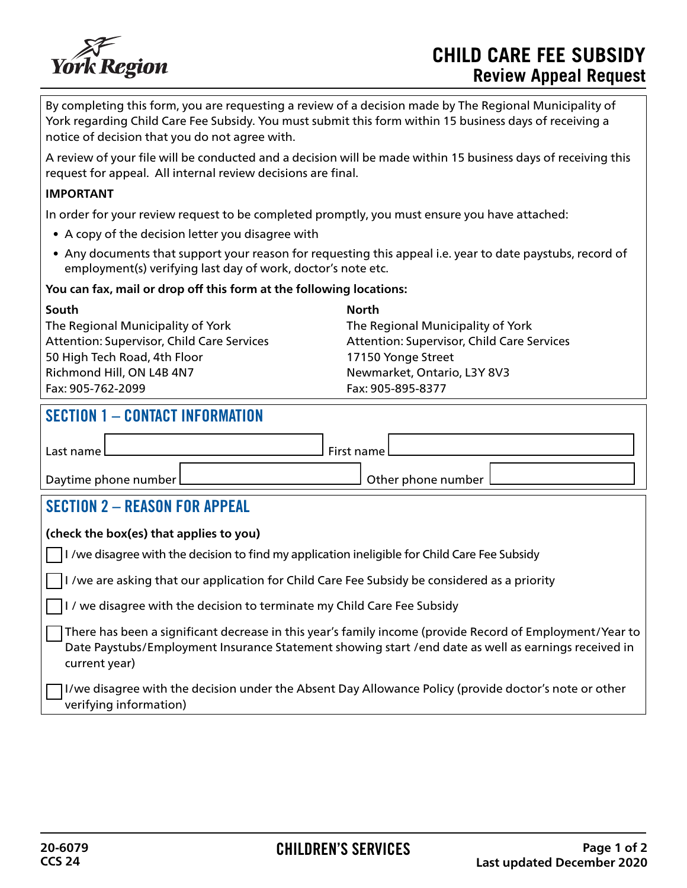

By completing this form, you are requesting a review of a decision made by The Regional Municipality of York regarding Child Care Fee Subsidy. You must submit this form within 15 business days of receiving a notice of decision that you do not agree with.

A review of your file will be conducted and a decision will be made within 15 business days of receiving this request for appeal. All internal review decisions are final.

#### **IMPORTANT**

In order for your review request to be completed promptly, you must ensure you have attached:

- A copy of the decision letter you disagree with
- Any documents that support your reason for requesting this appeal i.e. year to date paystubs, record of employment(s) verifying last day of work, doctor's note etc.

### **You can fax, mail or drop off this form at the following locations:**

| South                                             |
|---------------------------------------------------|
| The Regional Municipality of York                 |
| <b>Attention: Supervisor, Child Care Services</b> |
| 50 High Tech Road, 4th Floor                      |
| Richmond Hill, ON L4B 4N7                         |
| Fax: 905-762-2099                                 |

**North** The Regional Municipality of York Attention: Supervisor, Child Care Services 17150 Yonge Street Newmarket, Ontario, L3Y 8V3 Fax: 905-895-8377

## SECTION 1 – CONTACT INFORMATION

| Last name l            | ا First name           |  |
|------------------------|------------------------|--|
| Daytime phone number L | J Other phone number ' |  |

## SECTION 2 – REASON FOR APPEAL

#### **(check the box(es) that applies to you)**

I /we disagree with the decision to find my application ineligible for Child Care Fee Subsidy

I /we are asking that our application for Child Care Fee Subsidy be considered as a priority

I / we disagree with the decision to terminate my Child Care Fee Subsidy

There has been a significant decrease in this year's family income (provide Record of Employment/Year to Date Paystubs/Employment Insurance Statement showing start /end date as well as earnings received in current year)

I/we disagree with the decision under the Absent Day Allowance Policy (provide doctor's note or other verifying information)